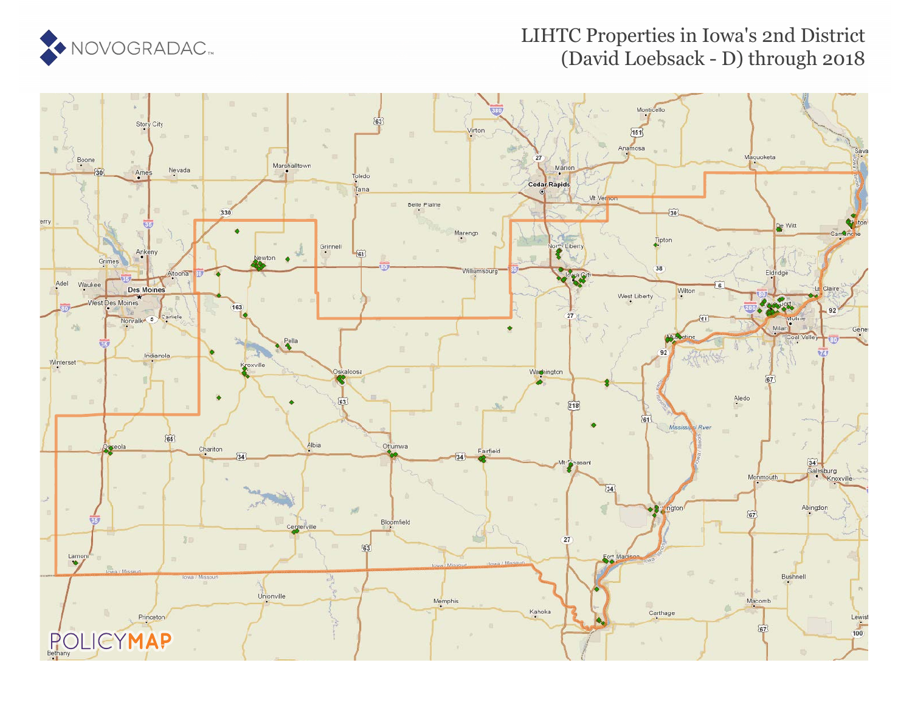

### LIHTC Properties in Iowa's 2nd District (David Loebsack - D) through 2018

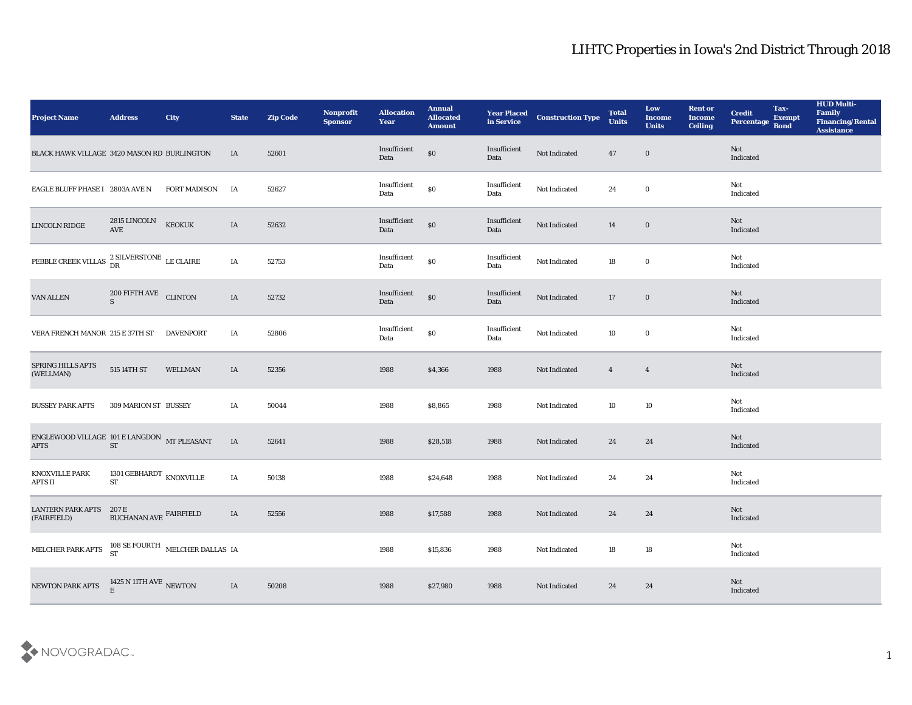| <b>Project Name</b>                                                                             | <b>Address</b>                                | City                                                    | <b>State</b> | <b>Zip Code</b> | Nonprofit<br>Sponsor | <b>Allocation</b><br><b>Year</b> | <b>Annual</b><br><b>Allocated</b><br><b>Amount</b> | <b>Year Placed</b><br>in Service | <b>Construction Type</b> | <b>Total</b><br><b>Units</b> | Low<br><b>Income</b><br><b>Units</b> | <b>Rent or</b><br><b>Income</b><br><b>Ceiling</b> | <b>Credit</b><br>Percentage Bond | Tax-<br><b>Exempt</b> | <b>HUD Multi-</b><br>Family<br><b>Financing/Rental</b><br><b>Assistance</b> |
|-------------------------------------------------------------------------------------------------|-----------------------------------------------|---------------------------------------------------------|--------------|-----------------|----------------------|----------------------------------|----------------------------------------------------|----------------------------------|--------------------------|------------------------------|--------------------------------------|---------------------------------------------------|----------------------------------|-----------------------|-----------------------------------------------------------------------------|
| BLACK HAWK VILLAGE 3420 MASON RD BURLINGTON                                                     |                                               |                                                         | IA           | 52601           |                      | Insufficient<br>Data             | $\$0$                                              | Insufficient<br>Data             | Not Indicated            | 47                           | $\bf{0}$                             |                                                   | Not<br>Indicated                 |                       |                                                                             |
| EAGLE BLUFF PHASE I 2803A AVE N                                                                 |                                               | FORT MADISON                                            | IA           | 52627           |                      | Insufficient<br>Data             | $\$0$                                              | Insufficient<br>Data             | Not Indicated            | 24                           | $\bf{0}$                             |                                                   | Not<br>Indicated                 |                       |                                                                             |
| LINCOLN RIDGE                                                                                   | 2815 LINCOLN<br>AVE                           | <b>KEOKUK</b>                                           | IA           | 52632           |                      | Insufficient<br>Data             | $\$0$                                              | Insufficient<br>Data             | Not Indicated            | 14                           | $\bf{0}$                             |                                                   | Not<br>Indicated                 |                       |                                                                             |
| PEBBLE CREEK VILLAS $\begin{array}{c} 2 \text{ SILVERSTONE} \\ \text{DR} \end{array}$ LE CLAIRE |                                               |                                                         | IA           | 52753           |                      | Insufficient<br>Data             | $\boldsymbol{\mathsf{S}}\boldsymbol{\mathsf{O}}$   | Insufficient<br>Data             | Not Indicated            | 18                           | $\bf{0}$                             |                                                   | Not<br>Indicated                 |                       |                                                                             |
| VAN ALLEN                                                                                       | 200 FIFTH AVE CLINTON<br>S                    |                                                         | IA           | 52732           |                      | Insufficient<br>Data             | $\$0$                                              | Insufficient<br>Data             | Not Indicated            | 17                           | $\bf{0}$                             |                                                   | Not<br>Indicated                 |                       |                                                                             |
| VERA FRENCH MANOR 215 E 37TH ST                                                                 |                                               | DAVENPORT                                               | IA           | 52806           |                      | Insufficient<br>Data             | $\$0$                                              | Insufficient<br>Data             | Not Indicated            | 10                           | $\bf{0}$                             |                                                   | Not<br>Indicated                 |                       |                                                                             |
| SPRING HILLS APTS<br>(WELLMAN)                                                                  | 515 14TH ST                                   | <b>WELLMAN</b>                                          | IA           | 52356           |                      | 1988                             | \$4,366                                            | 1988                             | Not Indicated            | $\overline{4}$               | $\overline{4}$                       |                                                   | Not<br>Indicated                 |                       |                                                                             |
| <b>BUSSEY PARK APTS</b>                                                                         | 309 MARION ST BUSSEY                          |                                                         | IA           | 50044           |                      | 1988                             | \$8,865                                            | 1988                             | Not Indicated            | 10                           | 10                                   |                                                   | Not<br>Indicated                 |                       |                                                                             |
| ENGLEWOOD VILLAGE 101 E LANGDON MT PLEASANT<br><b>APTS</b>                                      | <b>ST</b>                                     |                                                         | IA           | 52641           |                      | 1988                             | \$28,518                                           | 1988                             | Not Indicated            | 24                           | 24                                   |                                                   | Not<br>Indicated                 |                       |                                                                             |
| KNOXVILLE PARK<br><b>APTS II</b>                                                                | 1301 GEBHARDT $_{\rm KNOXVILLE}$<br><b>ST</b> |                                                         | IA           | 50138           |                      | 1988                             | \$24,648                                           | 1988                             | Not Indicated            | 24                           | 24                                   |                                                   | Not<br>Indicated                 |                       |                                                                             |
| <b>LANTERN PARK APTS 207 E</b><br>(FAIRFIELD)                                                   | BUCHANAN AVE FAIRFIELD                        |                                                         | IA           | 52556           |                      | 1988                             | \$17,588                                           | 1988                             | Not Indicated            | 24                           | 24                                   |                                                   | Not<br>Indicated                 |                       |                                                                             |
| MELCHER PARK APTS                                                                               |                                               | $108$ SE FOURTH $$\tt MELCHER\, DALLAS\,$ IA $$\tt ST$$ |              |                 |                      | 1988                             | \$15,836                                           | 1988                             | Not Indicated            | 18                           | ${\bf 18}$                           |                                                   | Not<br>Indicated                 |                       |                                                                             |
| NEWTON PARK APTS                                                                                | 1425 N 11TH AVE NEWTON<br>$\mathbf{E}$        |                                                         | IA           | 50208           |                      | 1988                             | \$27,980                                           | 1988                             | Not Indicated            | 24                           | 24                                   |                                                   | Not<br>Indicated                 |                       |                                                                             |

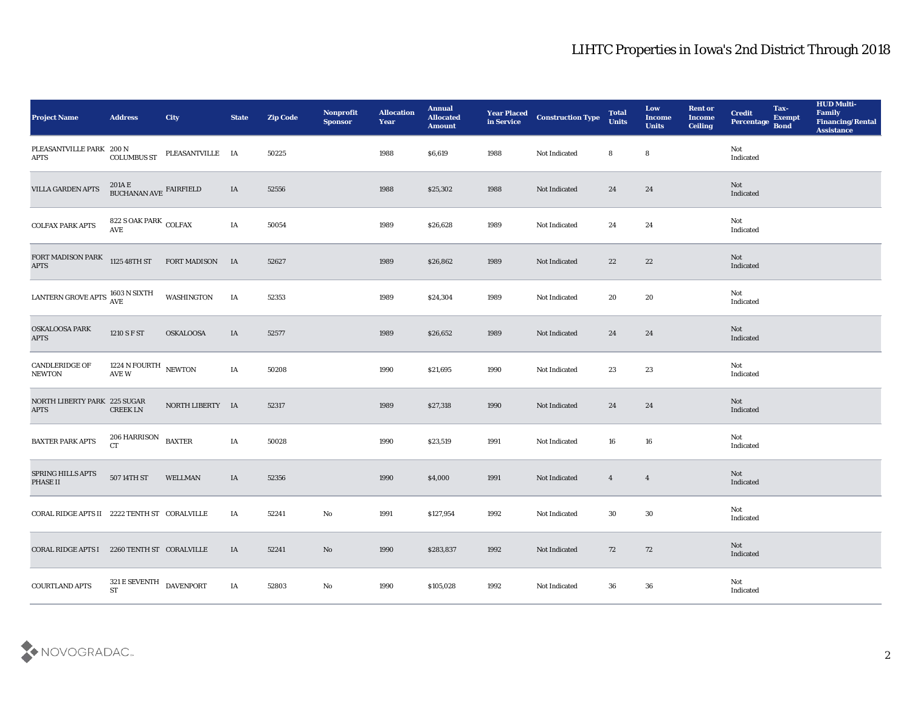| <b>Project Name</b>                                  | <b>Address</b>                            | City                | <b>State</b> | <b>Zip Code</b> | Nonprofit<br><b>Sponsor</b> | <b>Allocation</b><br><b>Year</b> | <b>Annual</b><br><b>Allocated</b><br><b>Amount</b> | <b>Year Placed</b><br>in Service | <b>Construction Type</b> | <b>Total</b><br><b>Units</b> | Low<br><b>Income</b><br><b>Units</b> | <b>Rent or</b><br><b>Income</b><br><b>Ceiling</b> | <b>Credit</b><br>Percentage | Tax-<br><b>Exempt</b><br><b>Bond</b> | <b>HUD Multi-</b><br>Family<br><b>Financing/Rental</b><br><b>Assistance</b> |
|------------------------------------------------------|-------------------------------------------|---------------------|--------------|-----------------|-----------------------------|----------------------------------|----------------------------------------------------|----------------------------------|--------------------------|------------------------------|--------------------------------------|---------------------------------------------------|-----------------------------|--------------------------------------|-----------------------------------------------------------------------------|
| PLEASANTVILLE PARK 200 N<br><b>APTS</b>              | <b>COLUMBUS ST</b>                        | PLEASANTVILLE IA    |              | 50225           |                             | 1988                             | \$6,619                                            | 1988                             | Not Indicated            | 8                            | 8                                    |                                                   | Not<br>Indicated            |                                      |                                                                             |
| VILLA GARDEN APTS                                    | $201\mathrm{A}\to$ BUCHANAN AVE FAIRFIELD |                     | IA           | 52556           |                             | 1988                             | \$25,302                                           | 1988                             | Not Indicated            | 24                           | 24                                   |                                                   | Not<br>Indicated            |                                      |                                                                             |
| <b>COLFAX PARK APTS</b>                              | 822 S OAK PARK COLFAX<br><b>AVE</b>       |                     | IA           | 50054           |                             | 1989                             | \$26,628                                           | 1989                             | Not Indicated            | 24                           | 24                                   |                                                   | Not<br>Indicated            |                                      |                                                                             |
| FORT MADISON PARK<br>APTS                            | 1125 48TH ST                              | <b>FORT MADISON</b> | <b>IA</b>    | 52627           |                             | 1989                             | \$26,862                                           | 1989                             | Not Indicated            | 22                           | 22                                   |                                                   | Not<br>Indicated            |                                      |                                                                             |
| LANTERN GROVE APTS $\frac{1603}{\text{AVE}}$ N SIXTH |                                           | WASHINGTON          | IA           | 52353           |                             | 1989                             | \$24,304                                           | 1989                             | Not Indicated            | 20                           | 20                                   |                                                   | Not<br>Indicated            |                                      |                                                                             |
| <b>OSKALOOSA PARK</b><br><b>APTS</b>                 | 1210 S F ST                               | <b>OSKALOOSA</b>    | IA           | 52577           |                             | 1989                             | \$26,652                                           | 1989                             | Not Indicated            | 24                           | 24                                   |                                                   | Not<br>Indicated            |                                      |                                                                             |
| CANDLERIDGE OF<br>${\bf NEWTON}$                     | 1224 N FOURTH NEWTON<br>AVE W             |                     | IA           | 50208           |                             | 1990                             | \$21,695                                           | 1990                             | Not Indicated            | 23                           | 23                                   |                                                   | Not<br>Indicated            |                                      |                                                                             |
| NORTH LIBERTY PARK 225 SUGAR<br><b>APTS</b>          | <b>CREEK LN</b>                           | NORTH LIBERTY IA    |              | 52317           |                             | 1989                             | \$27,318                                           | 1990                             | Not Indicated            | 24                           | 24                                   |                                                   | Not<br>Indicated            |                                      |                                                                             |
| <b>BAXTER PARK APTS</b>                              | $206\rm\,HARRISON$<br>CT                  | <b>BAXTER</b>       | IA           | 50028           |                             | 1990                             | \$23,519                                           | 1991                             | Not Indicated            | 16                           | 16                                   |                                                   | Not<br>Indicated            |                                      |                                                                             |
| SPRING HILLS APTS<br>PHASE II                        | 507 14TH ST                               | WELLMAN             | IA           | 52356           |                             | 1990                             | \$4,000                                            | 1991                             | Not Indicated            | $\overline{4}$               | $\overline{4}$                       |                                                   | Not<br>Indicated            |                                      |                                                                             |
| CORAL RIDGE APTS II 2222 TENTH ST CORALVILLE         |                                           |                     | IA           | 52241           | No                          | 1991                             | \$127,954                                          | 1992                             | Not Indicated            | 30                           | 30                                   |                                                   | Not<br>Indicated            |                                      |                                                                             |
| CORAL RIDGE APTS I 2260 TENTH ST CORALVILLE          |                                           |                     | IA           | 52241           | $\rm\thinspace No$          | 1990                             | \$283,837                                          | 1992                             | Not Indicated            | 72                           | $72\,$                               |                                                   | Not<br>Indicated            |                                      |                                                                             |
| <b>COURTLAND APTS</b>                                | 321 E SEVENTH $\,$ DAVENPORT<br><b>ST</b> |                     | IA           | 52803           | $\mathbf {No}$              | 1990                             | \$105,028                                          | 1992                             | Not Indicated            | 36                           | ${\bf 36}$                           |                                                   | Not<br>Indicated            |                                      |                                                                             |

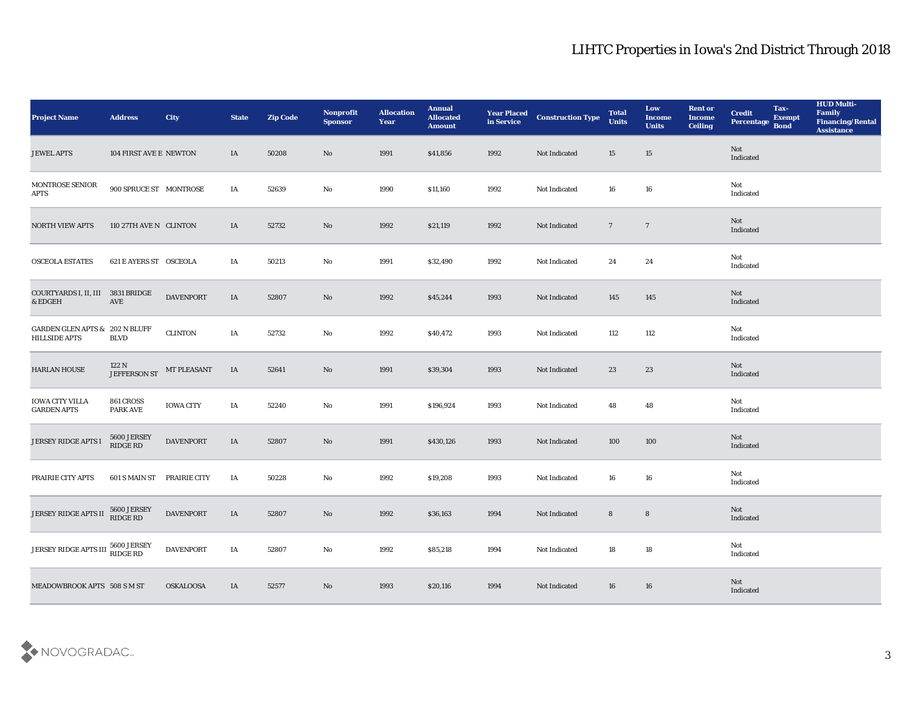| <b>Project Name</b>                                        | <b>Address</b>                                              | City                | <b>State</b> | <b>Zip Code</b> | Nonprofit<br><b>Sponsor</b> | <b>Allocation</b><br><b>Year</b> | <b>Annual</b><br><b>Allocated</b><br><b>Amount</b> | <b>Year Placed</b><br>in Service | <b>Construction Type</b> | <b>Total</b><br><b>Units</b> | Low<br><b>Income</b><br><b>Units</b> | <b>Rent or</b><br><b>Income</b><br><b>Ceiling</b> | <b>Credit</b><br>Percentage       | Tax-<br><b>Exempt</b><br><b>Bond</b> | <b>HUD Multi-</b><br>Family<br><b>Financing/Rental</b><br><b>Assistance</b> |
|------------------------------------------------------------|-------------------------------------------------------------|---------------------|--------------|-----------------|-----------------------------|----------------------------------|----------------------------------------------------|----------------------------------|--------------------------|------------------------------|--------------------------------------|---------------------------------------------------|-----------------------------------|--------------------------------------|-----------------------------------------------------------------------------|
| <b>JEWEL APTS</b>                                          | 104 FIRST AVE E NEWTON                                      |                     | IA           | 50208           | No                          | 1991                             | \$41,856                                           | 1992                             | Not Indicated            | 15                           | 15                                   |                                                   | Not<br>Indicated                  |                                      |                                                                             |
| MONTROSE SENIOR<br><b>APTS</b>                             | 900 SPRUCE ST MONTROSE                                      |                     | IA           | 52639           | No                          | 1990                             | \$11,160                                           | 1992                             | Not Indicated            | 16                           | 16                                   |                                                   | Not<br>$\operatorname{Indicated}$ |                                      |                                                                             |
| <b>NORTH VIEW APTS</b>                                     | 110 27TH AVE N CLINTON                                      |                     | IA           | 52732           | No                          | 1992                             | \$21,119                                           | 1992                             | Not Indicated            | $7\phantom{.0}$              | $\overline{7}$                       |                                                   | Not<br>Indicated                  |                                      |                                                                             |
| OSCEOLA ESTATES                                            | 621 E AYERS ST OSCEOLA                                      |                     | IA           | 50213           | No                          | 1991                             | \$32,490                                           | 1992                             | Not Indicated            | 24                           | 24                                   |                                                   | Not<br>Indicated                  |                                      |                                                                             |
| COURTYARDS I, II, III<br>& EDGEH                           | 3831 BRIDGE<br>AVE                                          | <b>DAVENPORT</b>    | IA           | 52807           | $\rm No$                    | 1992                             | \$45,244                                           | 1993                             | Not Indicated            | 145                          | 145                                  |                                                   | Not<br>Indicated                  |                                      |                                                                             |
| <b>GARDEN GLEN APTS &amp; 202 N BLUFF</b><br>HILLSIDE APTS | $\operatorname{BLVD}$                                       | <b>CLINTON</b>      | IA           | 52732           | No                          | 1992                             | \$40,472                                           | 1993                             | Not Indicated            | 112                          | 112                                  |                                                   | Not<br>Indicated                  |                                      |                                                                             |
| HARLAN HOUSE                                               | 122 N<br>JEFFERSON ST                                       | MT PLEASANT         | IA           | 52641           | No                          | 1991                             | \$39,304                                           | 1993                             | Not Indicated            | 23                           | 23                                   |                                                   | Not<br>Indicated                  |                                      |                                                                             |
| <b>IOWA CITY VILLA</b><br><b>GARDEN APTS</b>               | 861 CROSS<br><b>PARK AVE</b>                                | <b>IOWA CITY</b>    | IA           | 52240           | $\mathbf{No}$               | 1991                             | \$196,924                                          | 1993                             | Not Indicated            | 48                           | 48                                   |                                                   | Not<br>Indicated                  |                                      |                                                                             |
| <b>JERSEY RIDGE APTS I</b>                                 | 5600 JERSEY<br>$\mathop{\rm RIDGE}\nolimits\mathop{\rm RD}$ | <b>DAVENPORT</b>    | IA           | 52807           | No                          | 1991                             | \$430,126                                          | 1993                             | Not Indicated            | 100                          | 100                                  |                                                   | Not<br>Indicated                  |                                      |                                                                             |
| PRAIRIE CITY APTS                                          | 601 S MAIN ST                                               | <b>PRAIRIE CITY</b> | IA           | 50228           | $\mathbf{N}\mathbf{o}$      | 1992                             | \$19,208                                           | 1993                             | Not Indicated            | 16                           | 16                                   |                                                   | Not<br>Indicated                  |                                      |                                                                             |
| JERSEY RIDGE APTS II                                       | 5600 JERSEY<br><b>RIDGE RD</b>                              | <b>DAVENPORT</b>    | IA           | 52807           | No                          | 1992                             | \$36,163                                           | 1994                             | Not Indicated            | 8                            | $8\phantom{1}$                       |                                                   | Not<br>Indicated                  |                                      |                                                                             |
| JERSEY RIDGE APTS III                                      | 5600 JERSEY<br>RIDGE RD                                     | <b>DAVENPORT</b>    | IA           | 52807           | $\rm\, No$                  | 1992                             | \$85,218                                           | 1994                             | Not Indicated            | 18                           | 18                                   |                                                   | Not<br>Indicated                  |                                      |                                                                             |
| MEADOWBROOK APTS 508 S M ST                                |                                                             | <b>OSKALOOSA</b>    | IA           | 52577           | $\rm\, No$                  | 1993                             | \$20,116                                           | 1994                             | Not Indicated            | 16                           | 16                                   |                                                   | Not<br>Indicated                  |                                      |                                                                             |

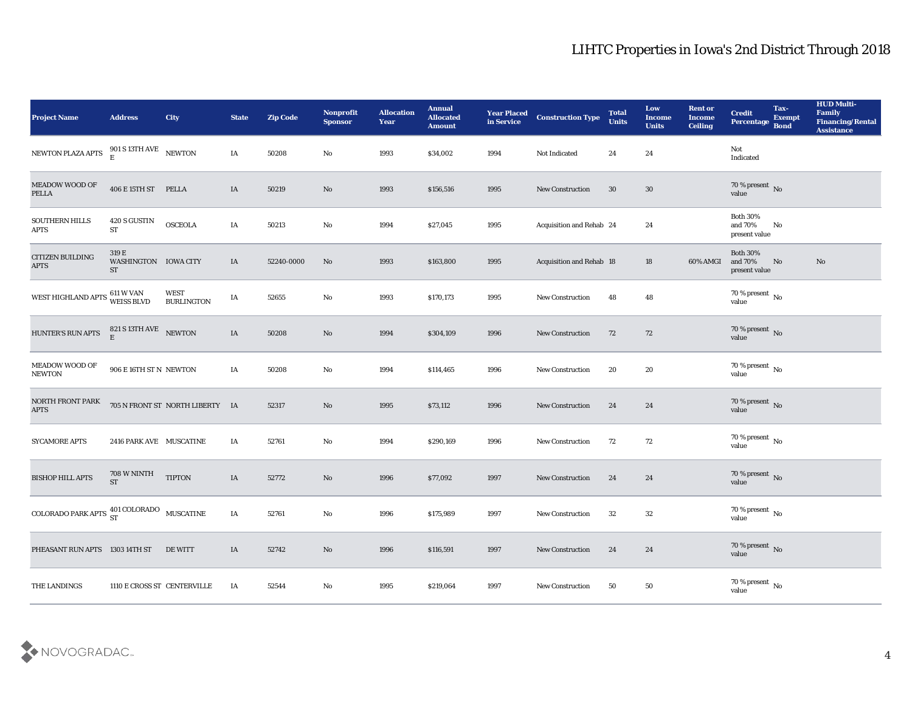| Project Name                                                 | <b>Address</b>                             | <b>City</b>                      | <b>State</b> | <b>Zip Code</b> | Nonprofit<br><b>Sponsor</b> | <b>Allocation</b><br><b>Year</b> | <b>Annual</b><br><b>Allocated</b><br><b>Amount</b> | <b>Year Placed</b><br>in Service | <b>Construction Type</b>        | <b>Total</b><br><b>Units</b> | Low<br><b>Income</b><br><b>Units</b> | <b>Rent or</b><br><b>Income</b><br><b>Ceiling</b> | <b>Credit</b><br>Percentage                 | Tax-<br><b>Exempt</b><br><b>Bond</b> | <b>HUD Multi-</b><br>Family<br><b>Financing/Rental</b><br><b>Assistance</b> |
|--------------------------------------------------------------|--------------------------------------------|----------------------------------|--------------|-----------------|-----------------------------|----------------------------------|----------------------------------------------------|----------------------------------|---------------------------------|------------------------------|--------------------------------------|---------------------------------------------------|---------------------------------------------|--------------------------------------|-----------------------------------------------------------------------------|
| NEWTON PLAZA APTS                                            | 901 S 13TH AVE NEWTON E                    |                                  | IA           | 50208           | No                          | 1993                             | \$34,002                                           | 1994                             | Not Indicated                   | 24                           | 24                                   |                                                   | Not<br>Indicated                            |                                      |                                                                             |
| MEADOW WOOD OF<br><b>PELLA</b>                               | 406 E 15TH ST PELLA                        |                                  | IA           | 50219           | No                          | 1993                             | \$156,516                                          | 1995                             | <b>New Construction</b>         | 30                           | 30                                   |                                                   | $70\,\%$ present $\,$ No value              |                                      |                                                                             |
| SOUTHERN HILLS<br><b>APTS</b>                                | 420 S GUSTIN<br><b>ST</b>                  | <b>OSCEOLA</b>                   | IA           | 50213           | $\rm\thinspace No$          | 1994                             | \$27,045                                           | 1995                             | Acquisition and Rehab 24        |                              | 24                                   |                                                   | <b>Both 30%</b><br>and 70%<br>present value | No                                   |                                                                             |
| CITIZEN BUILDING<br><b>APTS</b>                              | 319 E<br>WASHINGTON IOWA CITY<br><b>ST</b> |                                  | IA           | 52240-0000      | No                          | 1993                             | \$163,800                                          | 1995                             | <b>Acquisition and Rehab 18</b> |                              | 18                                   | 60% AMGI                                          | <b>Both 30%</b><br>and 70%<br>present value | No                                   | No                                                                          |
| WEST HIGHLAND APTS $^{611\, \rm W\,VAN}_{\rm W EISS\, BLVD}$ |                                            | <b>WEST</b><br><b>BURLINGTON</b> | IA           | 52655           | $\rm\thinspace No$          | 1993                             | \$170,173                                          | 1995                             | <b>New Construction</b>         | 48                           | 48                                   |                                                   | $70\,\%$ present $\,$ No value              |                                      |                                                                             |
| <b>HUNTER'S RUN APTS</b>                                     | $821$ S 13TH AVE $$\,{\rm NEWTON}$$ E      |                                  | IA           | 50208           | $\mathbf{N}\mathbf{o}$      | 1994                             | \$304,109                                          | 1996                             | New Construction                | 72                           | 72                                   |                                                   | $70\,\%$ present $\,$ No value              |                                      |                                                                             |
| MEADOW WOOD OF<br><b>NEWTON</b>                              | 906 E 16TH ST N NEWTON                     |                                  | IA           | 50208           | No                          | 1994                             | \$114,465                                          | 1996                             | <b>New Construction</b>         | 20                           | 20                                   |                                                   | $70\,\%$ present $\,$ No value              |                                      |                                                                             |
| NORTH FRONT PARK<br><b>APTS</b>                              |                                            | 705 N FRONT ST NORTH LIBERTY IA  |              | 52317           | $\mathbf{N}\mathbf{o}$      | 1995                             | \$73,112                                           | 1996                             | <b>New Construction</b>         | 24                           | 24                                   |                                                   | $70\,\%$ present $${\rm No}$$ value         |                                      |                                                                             |
| <b>SYCAMORE APTS</b>                                         | 2416 PARK AVE MUSCATINE                    |                                  | IA           | 52761           | No                          | 1994                             | \$290,169                                          | 1996                             | <b>New Construction</b>         | 72                           | 72                                   |                                                   | $70\,\%$ present $\,$ No value              |                                      |                                                                             |
| <b>BISHOP HILL APTS</b>                                      | 708 W NINTH<br>$\operatorname{ST}$         | <b>TIPTON</b>                    | IA           | 52772           | $\mathbf{N}\mathbf{o}$      | 1996                             | \$77,092                                           | 1997                             | <b>New Construction</b>         | 24                           | 24                                   |                                                   | $70\,\%$ present $\,$ No value              |                                      |                                                                             |
| COLORADO PARK APTS $^{401}_{ST}$ COLORADO MUSCATINE          |                                            |                                  | IA           | 52761           | No                          | 1996                             | \$175,989                                          | 1997                             | <b>New Construction</b>         | 32                           | 32                                   |                                                   | $70\,\%$ present $\,$ No value              |                                      |                                                                             |
| PHEASANT RUN APTS 1303 14TH ST                               |                                            | DE WITT                          | IA           | 52742           | $\rm\, No$                  | 1996                             | \$116,591                                          | 1997                             | New Construction                | 24                           | 24                                   |                                                   | $70\,\%$ present $\,$ No value              |                                      |                                                                             |
| THE LANDINGS                                                 | 1110 E CROSS ST CENTERVILLE                |                                  | IA           | 52544           | $\rm\thinspace No$          | 1995                             | \$219,064                                          | 1997                             | New Construction                | 50                           | $50\,$                               |                                                   | $70\,\%$ present $\,$ No value              |                                      |                                                                             |

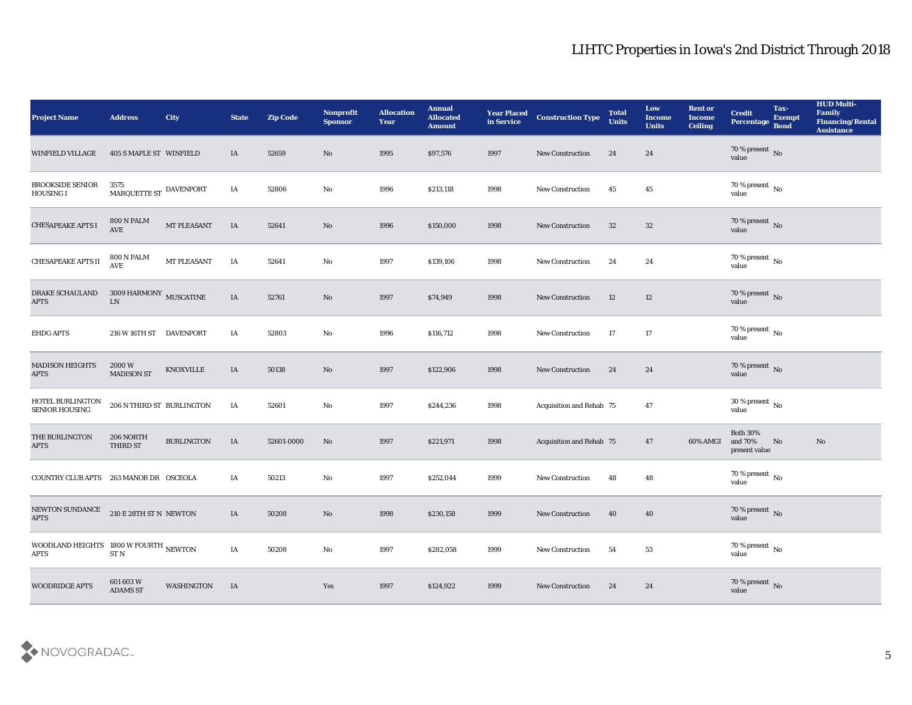| <b>Project Name</b>                                  | <b>Address</b>                         | City              | <b>State</b> | <b>Zip Code</b> | Nonprofit<br><b>Sponsor</b> | <b>Allocation</b><br><b>Year</b> | <b>Annual</b><br><b>Allocated</b><br><b>Amount</b> | <b>Year Placed</b><br>in Service | <b>Construction Type</b>        | <b>Total</b><br><b>Units</b> | Low<br><b>Income</b><br><b>Units</b> | <b>Rent or</b><br><b>Income</b><br><b>Ceiling</b> | <b>Credit</b><br>Percentage                 | Tax-<br><b>Exempt</b><br><b>Bond</b> | <b>HUD Multi-</b><br>Family<br>Financing/Rental<br><b>Assistance</b> |
|------------------------------------------------------|----------------------------------------|-------------------|--------------|-----------------|-----------------------------|----------------------------------|----------------------------------------------------|----------------------------------|---------------------------------|------------------------------|--------------------------------------|---------------------------------------------------|---------------------------------------------|--------------------------------------|----------------------------------------------------------------------|
| <b>WINFIELD VILLAGE</b>                              | 405 S MAPLE ST WINFIELD                |                   | IA           | 52659           | No                          | 1995                             | \$97,576                                           | 1997                             | <b>New Construction</b>         | 24                           | 24                                   |                                                   | $70\,\%$ present $\,$ No value              |                                      |                                                                      |
| <b>BROOKSIDE SENIOR</b><br>HOUSING I                 | 3575<br>MARQUETTE ST DAVENPORT         |                   | IA           | 52806           | No                          | 1996                             | \$213,118                                          | 1998                             | <b>New Construction</b>         | 45                           | 45                                   |                                                   | $70\,\%$ present $\,$ No value              |                                      |                                                                      |
| <b>CHESAPEAKE APTS I</b>                             | 800 N PALM<br><b>AVE</b>               | MT PLEASANT       | IA           | 52641           | No                          | 1996                             | \$150,000                                          | 1998                             | New Construction                | 32                           | 32                                   |                                                   | $70\,\%$ present $\,$ No value              |                                      |                                                                      |
| CHESAPEAKE APTS II                                   | <b>800 N PALM</b><br>AVE               | MT PLEASANT       | IA           | 52641           | No                          | 1997                             | \$139,106                                          | 1998                             | <b>New Construction</b>         | 24                           | 24                                   |                                                   | $70\,\%$ present $\,$ No value              |                                      |                                                                      |
| <b>DRAKE SCHAULAND</b><br><b>APTS</b>                | $3009\,\mbox{HARMONY}$ MUSCATINE<br>LN |                   | IA           | 52761           | No                          | 1997                             | \$74,949                                           | 1998                             | <b>New Construction</b>         | 12                           | 12                                   |                                                   | $70\,\%$ present $\,$ No value              |                                      |                                                                      |
| <b>EHDG APTS</b>                                     | 216 W 16TH ST DAVENPORT                |                   | IA           | 52803           | No                          | 1996                             | \$116,712                                          | 1998                             | New Construction                | 17                           | 17                                   |                                                   | $70\,\%$ present $\,$ No value              |                                      |                                                                      |
| <b>MADISON HEIGHTS</b><br><b>APTS</b>                | 2000 W<br><b>MADISON ST</b>            | KNOXVILLE         | IA           | 50138           | No                          | 1997                             | \$122,906                                          | 1998                             | <b>New Construction</b>         | 24                           | 24                                   |                                                   | $70\,\%$ present $\,$ No value              |                                      |                                                                      |
| HOTEL BURLINGTON<br>SENIOR HOUSING                   | 206 N THIRD ST BURLINGTON              |                   | IA           | 52601           | No                          | 1997                             | \$244,236                                          | 1998                             | <b>Acquisition and Rehab 75</b> |                              | 47                                   |                                                   | $30\,\%$ present $\,$ No value              |                                      |                                                                      |
| THE BURLINGTON<br><b>APTS</b>                        | 206 NORTH<br><b>THIRD ST</b>           | <b>BURLINGTON</b> | IA           | 52601-0000      | No                          | 1997                             | \$221,971                                          | 1998                             | <b>Acquisition and Rehab 75</b> |                              | 47                                   | 60% AMGI                                          | <b>Both 30%</b><br>and 70%<br>present value | No                                   | No                                                                   |
| COUNTRY CLUB APTS 263 MANOR DR OSCEOLA               |                                        |                   | IA           | 50213           | $\rm\thinspace No$          | 1997                             | \$252,044                                          | 1999                             | <b>New Construction</b>         | 48                           | 48                                   |                                                   | $70\,\%$ present $\,$ No value              |                                      |                                                                      |
| NEWTON SUNDANCE<br><b>APTS</b>                       | 210 E 28TH ST N NEWTON                 |                   | IA           | 50208           | No                          | 1998                             | \$230,158                                          | 1999                             | <b>New Construction</b>         | 40                           | 40                                   |                                                   | $70\,\%$ present $\,$ No value              |                                      |                                                                      |
| WOODLAND HEIGHTS 1800 W FOURTH NEWTON<br><b>APTS</b> | ST <sub>N</sub>                        |                   | IA           | 50208           | $\mathbf{N}\mathbf{o}$      | 1997                             | \$282,058                                          | 1999                             | New Construction                | 54                           | 53                                   |                                                   | $70\,\%$ present $\,$ No $\,$<br>value      |                                      |                                                                      |
| <b>WOODRIDGE APTS</b>                                | 601 603 W<br><b>ADAMS ST</b>           | WASHINGTON        | IA           |                 | Yes                         | 1997                             | \$124,922                                          | 1999                             | <b>New Construction</b>         | 24                           | 24                                   |                                                   | $70\,\%$ present $\,$ No value              |                                      |                                                                      |

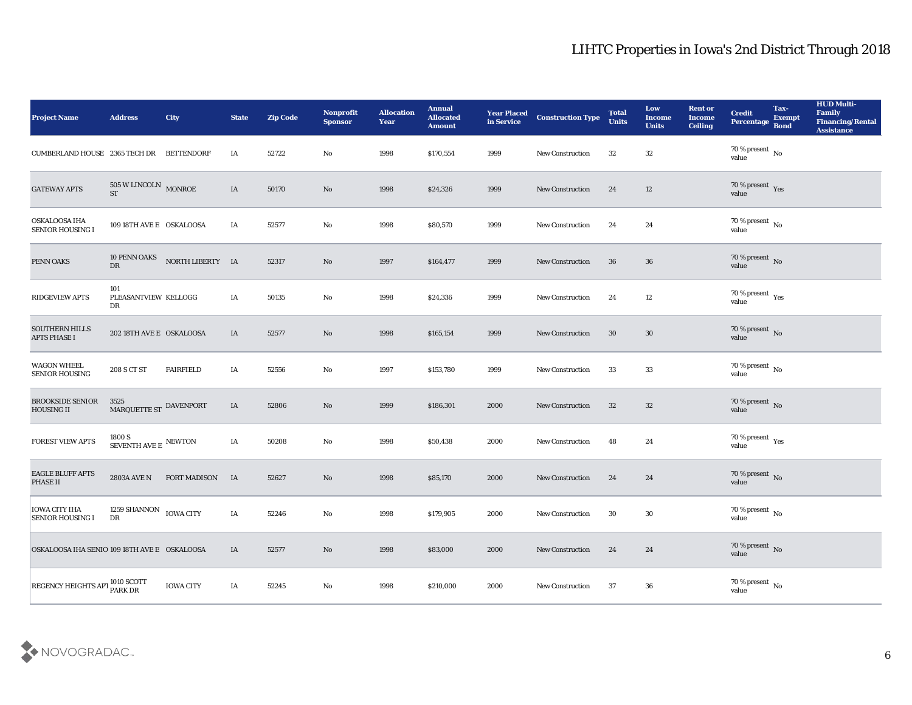| <b>Project Name</b>                             | <b>Address</b>                                 | City                | <b>State</b> | <b>Zip Code</b> | Nonprofit<br><b>Sponsor</b> | <b>Allocation</b><br><b>Year</b> | <b>Annual</b><br><b>Allocated</b><br><b>Amount</b> | <b>Year Placed<br/>in Service</b> | <b>Construction Type</b> | <b>Total</b><br><b>Units</b> | Low<br><b>Income</b><br><b>Units</b> | <b>Rent or</b><br><b>Income</b><br><b>Ceiling</b> | <b>Credit</b><br>Percentage         | Tax-<br><b>Exempt</b><br><b>Bond</b> | <b>HUD Multi-</b><br>Family<br><b>Financing/Rental</b><br><b>Assistance</b> |
|-------------------------------------------------|------------------------------------------------|---------------------|--------------|-----------------|-----------------------------|----------------------------------|----------------------------------------------------|-----------------------------------|--------------------------|------------------------------|--------------------------------------|---------------------------------------------------|-------------------------------------|--------------------------------------|-----------------------------------------------------------------------------|
| CUMBERLAND HOUSE 2365 TECH DR BETTENDORF        |                                                |                     | IA           | 52722           | No                          | 1998                             | \$170,554                                          | 1999                              | <b>New Construction</b>  | 32                           | 32                                   |                                                   | $70\,\%$ present $\,$ No value      |                                      |                                                                             |
| <b>GATEWAY APTS</b>                             | $505\,\rm{W}$ LINCOLN $_{\rm{MONROE}}$ ST      |                     | IA           | 50170           | No                          | 1998                             | \$24,326                                           | 1999                              | New Construction         | 24                           | 12                                   |                                                   | $70\,\%$ present $\,$ Yes value     |                                      |                                                                             |
| OSKALOOSA IHA<br><b>SENIOR HOUSING I</b>        | 109 18TH AVE E OSKALOOSA                       |                     | IA           | 52577           | $\mathbf{N}\mathbf{o}$      | 1998                             | \$80,570                                           | 1999                              | <b>New Construction</b>  | 24                           | 24                                   |                                                   | $70\,\%$ present $\,$ No value      |                                      |                                                                             |
| PENN OAKS                                       | 10 PENN OAKS<br>DR                             | NORTH LIBERTY IA    |              | 52317           | $\mathbf{N}\mathbf{o}$      | 1997                             | \$164,477                                          | 1999                              | <b>New Construction</b>  | 36                           | 36                                   |                                                   | $70\,\%$ present $\,$ No value      |                                      |                                                                             |
| <b>RIDGEVIEW APTS</b>                           | 101<br>PLEASANTVIEW KELLOGG<br>DR              |                     | IA           | 50135           | No                          | 1998                             | \$24,336                                           | 1999                              | <b>New Construction</b>  | 24                           | 12                                   |                                                   | $70\,\%$ present $\,$ Yes value     |                                      |                                                                             |
| <b>SOUTHERN HILLS</b><br><b>APTS PHASE I</b>    | 202 18TH AVE E OSKALOOSA                       |                     | IA           | 52577           | No                          | 1998                             | \$165,154                                          | 1999                              | New Construction         | 30                           | 30                                   |                                                   | $70\,\%$ present $\,$ No value      |                                      |                                                                             |
| <b>WAGON WHEEL</b><br>SENIOR HOUSING            | 208 S CT ST                                    | <b>FAIRFIELD</b>    | IA           | 52556           | No                          | 1997                             | \$153,780                                          | 1999                              | <b>New Construction</b>  | 33                           | 33                                   |                                                   | $70\,\%$ present $\,$ No value      |                                      |                                                                             |
| <b>BROOKSIDE SENIOR</b><br><b>HOUSING II</b>    | 3525<br>MARQUETTE ST DAVENPORT                 |                     | IA           | 52806           | No                          | 1999                             | \$186,301                                          | 2000                              | <b>New Construction</b>  | 32                           | 32                                   |                                                   | $70\,\%$ present $${\rm No}$$ value |                                      |                                                                             |
| <b>FOREST VIEW APTS</b>                         | $1800$ S $$\rm{SEVENTH}$ AVE E $$\rm{NEWTON}$$ |                     | IA           | 50208           | $\rm\thinspace No$          | 1998                             | \$50,438                                           | 2000                              | <b>New Construction</b>  | 48                           | 24                                   |                                                   | $70\,\%$ present $\,$ Yes value     |                                      |                                                                             |
| <b>EAGLE BLUFF APTS</b><br>PHASE II             | 2803A AVE N                                    | <b>FORT MADISON</b> | <b>IA</b>    | 52627           | $\rm\thinspace No$          | 1998                             | \$85,170                                           | 2000                              | <b>New Construction</b>  | 24                           | 24                                   |                                                   | $70\,\%$ present $\,$ No value      |                                      |                                                                             |
| <b>IOWA CITY IHA</b><br><b>SENIOR HOUSING I</b> | 1259 SHANNON IOWA CITY<br>DR                   |                     | IA           | 52246           | No                          | 1998                             | \$179,905                                          | 2000                              | <b>New Construction</b>  | 30                           | 30                                   |                                                   | $70\,\%$ present $\,$ No value      |                                      |                                                                             |
| OSKALOOSA IHA SENIO 109 18TH AVE E OSKALOOSA    |                                                |                     | IA           | 52577           | $\rm\thinspace No$          | 1998                             | \$83,000                                           | 2000                              | <b>New Construction</b>  | 24                           | 24                                   |                                                   | $70\,\%$ present $\,$ No value      |                                      |                                                                             |
| <b>REGENCY HEIGHTS APT</b>                      | 1010 SCOTT<br>PARK DR                          | <b>IOWA CITY</b>    | IA           | 52245           | $\mathbf {No}$              | 1998                             | \$210,000                                          | 2000                              | New Construction         | 37                           | 36                                   |                                                   | $70\,\%$ present $\,$ No value      |                                      |                                                                             |

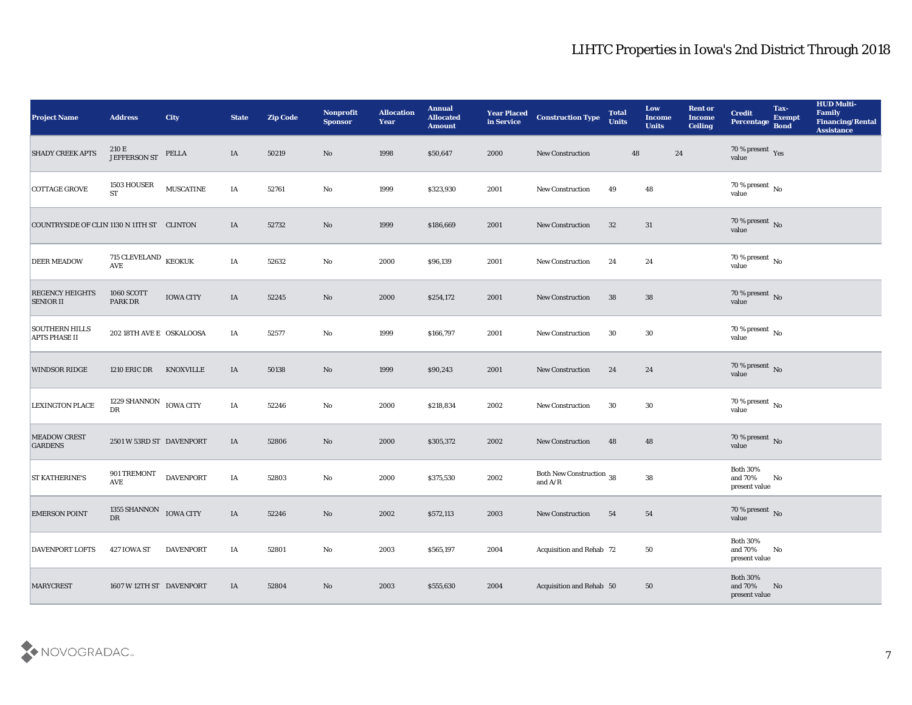| <b>Project Name</b>                           | <b>Address</b>                                             | <b>City</b>      | <b>State</b> | <b>Zip Code</b> | Nonprofit<br><b>Sponsor</b> | <b>Allocation</b><br><b>Year</b> | <b>Annual</b><br><b>Allocated</b><br><b>Amount</b> | <b>Year Placed<br/>in Service</b> | <b>Construction Type</b>                                                          | <b>Total</b><br><b>Units</b> | Low<br><b>Income</b><br><b>Units</b> | <b>Rent or</b><br><b>Income</b><br><b>Ceiling</b> | <b>Credit</b><br><b>Percentage</b>             | Tax-<br>Exempt<br>Bond | <b>HUD Multi-</b><br>Family<br><b>Financing/Rental</b><br><b>Assistance</b> |
|-----------------------------------------------|------------------------------------------------------------|------------------|--------------|-----------------|-----------------------------|----------------------------------|----------------------------------------------------|-----------------------------------|-----------------------------------------------------------------------------------|------------------------------|--------------------------------------|---------------------------------------------------|------------------------------------------------|------------------------|-----------------------------------------------------------------------------|
| <b>SHADY CREEK APTS</b>                       | 210 E<br>JEFFERSON ST                                      | PELLA            | IA           | 50219           | No                          | 1998                             | \$50,647                                           | 2000                              | <b>New Construction</b>                                                           | 48                           | 24                                   |                                                   | $70\,\%$ present $\,$ Yes value                |                        |                                                                             |
| COTTAGE GROVE                                 | 1503 HOUSER<br>$\operatorname{ST}$                         | <b>MUSCATINE</b> | IA           | 52761           | No                          | 1999                             | \$323,930                                          | 2001                              | New Construction                                                                  | 49                           | 48                                   |                                                   | $70\,\%$ present $\,$ No value                 |                        |                                                                             |
| COUNTRYSIDE OF CLIN 1130 N 11TH ST CLINTON    |                                                            |                  | IA           | 52732           | No                          | 1999                             | \$186,669                                          | 2001                              | <b>New Construction</b>                                                           | 32                           | 31                                   |                                                   | $70\,\%$ present $\,$ No value                 |                        |                                                                             |
| <b>DEER MEADOW</b>                            | 715 CLEVELAND $\,$ KEOKUK<br>$\operatorname{\mathbf{AVE}}$ |                  | IA           | 52632           | No                          | 2000                             | \$96,139                                           | 2001                              | <b>New Construction</b>                                                           | 24                           | 24                                   |                                                   | $70\,\%$ present $\,$ No value                 |                        |                                                                             |
| <b>REGENCY HEIGHTS</b><br><b>SENIOR II</b>    | <b>1060 SCOTT</b><br><b>PARK DR</b>                        | <b>IOWA CITY</b> | IA           | 52245           | $\mathbf{N}\mathbf{o}$      | 2000                             | \$254,172                                          | 2001                              | <b>New Construction</b>                                                           | 38                           | 38                                   |                                                   | $70\,\%$ present $\,$ No value                 |                        |                                                                             |
| <b>SOUTHERN HILLS</b><br><b>APTS PHASE II</b> | 202 18TH AVE E OSKALOOSA                                   |                  | IA           | 52577           | No                          | 1999                             | \$166,797                                          | 2001                              | <b>New Construction</b>                                                           | 30                           | 30                                   |                                                   | $70\,\%$ present $\,$ No value                 |                        |                                                                             |
| <b>WINDSOR RIDGE</b>                          | <b>1210 ERIC DR</b>                                        | <b>KNOXVILLE</b> | IA           | 50138           | No                          | 1999                             | \$90,243                                           | 2001                              | New Construction                                                                  | 24                           | 24                                   |                                                   | $70\,\%$ present $\,$ No value                 |                        |                                                                             |
| <b>LEXINGTON PLACE</b>                        | 1229 SHANNON IOWA CITY<br>${\rm D}{\rm R}$                 |                  | IA           | 52246           | No                          | 2000                             | \$218,834                                          | 2002                              | <b>New Construction</b>                                                           | 30                           | 30                                   |                                                   | $70\,\%$ present $\,$ No value                 |                        |                                                                             |
| <b>MEADOW CREST</b><br><b>GARDENS</b>         | 2501 W 53RD ST DAVENPORT                                   |                  | IA           | 52806           | No                          | 2000                             | \$305,372                                          | 2002                              | <b>New Construction</b>                                                           | 48                           | 48                                   |                                                   | $70\,\%$ present $\,$ No value                 |                        |                                                                             |
| <b>ST KATHERINE'S</b>                         | 901 TREMONT<br><b>AVE</b>                                  | <b>DAVENPORT</b> | IA           | 52803           | No                          | 2000                             | \$375,530                                          | 2002                              | Both New Construction 38<br>and $\ensuremath{\mathrm{A}}/\ensuremath{\mathrm{R}}$ |                              | ${\bf 38}$                           |                                                   | <b>Both 30%</b><br>and 70%<br>present value    | No                     |                                                                             |
| <b>EMERSON POINT</b>                          | 1355 SHANNON IOWA CITY<br>$_{\rm DR}$                      |                  | IA           | 52246           | No                          | 2002                             | \$572,113                                          | 2003                              | <b>New Construction</b>                                                           | 54                           | 54                                   |                                                   | $70$ % present $_{\rm{No}}$ $_{\rm{value}}$    |                        |                                                                             |
| <b>DAVENPORT LOFTS</b>                        | 427 IOWA ST                                                | <b>DAVENPORT</b> | IA           | 52801           | $\mathbf{N}\mathbf{o}$      | 2003                             | \$565,197                                          | 2004                              | Acquisition and Rehab 72                                                          |                              | 50                                   |                                                   | <b>Both 30%</b><br>and $70\%$<br>present value | No                     |                                                                             |
| <b>MARYCREST</b>                              | 1607 W 12TH ST DAVENPORT                                   |                  | IA           | 52804           | $\rm\thinspace No$          | 2003                             | \$555,630                                          | 2004                              | Acquisition and Rehab 50                                                          |                              | 50                                   |                                                   | <b>Both 30%</b><br>and $70\%$<br>present value | No                     |                                                                             |

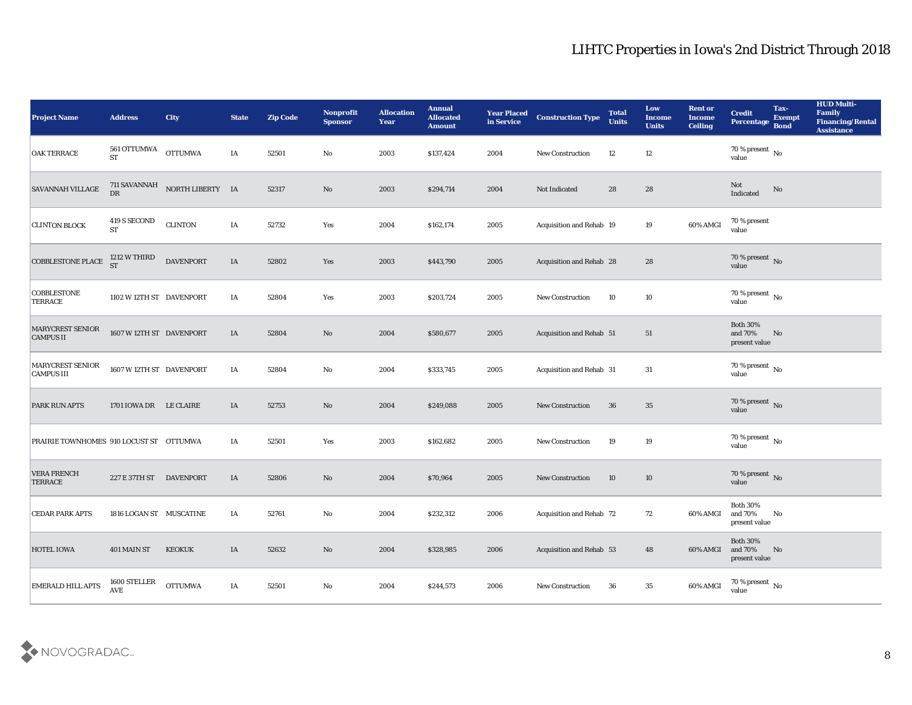| <b>Project Name</b>                         | <b>Address</b>                      | <b>City</b>                      | <b>State</b> | <b>Zip Code</b> | Nonprofit<br><b>Sponsor</b> | <b>Allocation</b><br><b>Year</b> | <b>Annual</b><br><b>Allocated</b><br><b>Amount</b> | <b>Year Placed</b><br>in Service | <b>Construction Type</b>        | <b>Total</b><br><b>Units</b> | Low<br><b>Income</b><br><b>Units</b> | <b>Rent or</b><br><b>Income</b><br>Ceiling | <b>Credit</b><br>Percentage                 | Tax-<br><b>Exempt</b><br><b>Bond</b> | <b>HUD Multi-</b><br>Family<br><b>Financing/Rental</b><br><b>Assistance</b> |
|---------------------------------------------|-------------------------------------|----------------------------------|--------------|-----------------|-----------------------------|----------------------------------|----------------------------------------------------|----------------------------------|---------------------------------|------------------------------|--------------------------------------|--------------------------------------------|---------------------------------------------|--------------------------------------|-----------------------------------------------------------------------------|
| <b>OAK TERRACE</b>                          | 561 OTTUMWA<br><b>ST</b>            | <b>OTTUMWA</b>                   | IA           | 52501           | No                          | 2003                             | \$137,424                                          | 2004                             | <b>New Construction</b>         | 12                           | 12                                   |                                            | $70\,\%$ present $\,$ No value              |                                      |                                                                             |
| SAVANNAH VILLAGE                            |                                     | 711 SAVANNAH NORTH LIBERTY IA DR |              | 52317           | No                          | 2003                             | \$294,714                                          | 2004                             | Not Indicated                   | 28                           | 28                                   |                                            | Not<br>Indicated                            | $\mathbf{N}\mathbf{o}$               |                                                                             |
| <b>CLINTON BLOCK</b>                        | 419 S SECOND<br><b>ST</b>           | <b>CLINTON</b>                   | IA           | 52732           | Yes                         | 2004                             | \$162,174                                          | 2005                             | <b>Acquisition and Rehab 19</b> |                              | 19                                   | 60% AMGI                                   | 70 % present<br>value                       |                                      |                                                                             |
| <b>COBBLESTONE PLACE</b>                    | 1212 W THIRD<br><b>ST</b>           | <b>DAVENPORT</b>                 | IA           | 52802           | Yes                         | 2003                             | \$443,790                                          | 2005                             | Acquisition and Rehab 28        |                              | 28                                   |                                            | $70\,\%$ present $\,$ No value              |                                      |                                                                             |
| <b>COBBLESTONE</b><br><b>TERRACE</b>        | 1102 W 12TH ST DAVENPORT            |                                  | IA           | 52804           | Yes                         | 2003                             | \$203,724                                          | 2005                             | <b>New Construction</b>         | 10                           | 10                                   |                                            | $70\,\%$ present $\,$ No value              |                                      |                                                                             |
| <b>MARYCREST SENIOR</b><br><b>CAMPUS II</b> | 1607 W 12TH ST DAVENPORT            |                                  | IA           | 52804           | No                          | 2004                             | \$580,677                                          | 2005                             | Acquisition and Rehab 51        |                              | 51                                   |                                            | <b>Both 30%</b><br>and 70%<br>present value | No                                   |                                                                             |
| MARYCREST SENIOR<br><b>CAMPUS III</b>       | 1607 W 12TH ST DAVENPORT            |                                  | IA           | 52804           | No                          | 2004                             | \$333,745                                          | 2005                             | Acquisition and Rehab 31        |                              | 31                                   |                                            | $70\,\%$ present $\,$ No value              |                                      |                                                                             |
| <b>PARK RUN APTS</b>                        | 1701 IOWA DR LE CLAIRE              |                                  | IA           | 52753           | No                          | 2004                             | \$249,088                                          | 2005                             | <b>New Construction</b>         | 36                           | 35                                   |                                            | $70\,\%$ present $_{\rm No}$                |                                      |                                                                             |
| PRAIRIE TOWNHOMES 910 LOCUST ST OTTUMWA     |                                     |                                  | IA           | 52501           | Yes                         | 2003                             | \$162,682                                          | 2005                             | New Construction                | 19                           | 19                                   |                                            | $70\,\%$ present $\,$ No value              |                                      |                                                                             |
| <b>VERA FRENCH</b><br><b>TERRACE</b>        | 227 E 37TH ST DAVENPORT             |                                  | IA           | 52806           | No                          | 2004                             | \$70,964                                           | 2005                             | <b>New Construction</b>         | 10                           | 10                                   |                                            | $70\,\%$ present $\,$ No value              |                                      |                                                                             |
| <b>CEDAR PARK APTS</b>                      | 1816 LOGAN ST MUSCATINE             |                                  | IA           | 52761           | No                          | 2004                             | \$232,312                                          | 2006                             | <b>Acquisition and Rehab 72</b> |                              | 72                                   | 60% AMGI                                   | <b>Both 30%</b><br>and 70%<br>present value | No                                   |                                                                             |
| <b>HOTEL IOWA</b>                           | 401 MAIN ST                         | <b>KEOKUK</b>                    | IA           | 52632           | $\rm\thinspace No$          | 2004                             | \$328,985                                          | 2006                             | Acquisition and Rehab 53        |                              | 48                                   | 60% AMGI                                   | <b>Both 30%</b><br>and 70%<br>present value | N <sub>0</sub>                       |                                                                             |
| <b>EMERALD HILL APTS</b>                    | $1600\,{\rm STELLER}$<br><b>AVE</b> | <b>OTTUMWA</b>                   | IA           | 52501           | $\rm\thinspace No$          | 2004                             | \$244,573                                          | 2006                             | New Construction                | 36                           | $35\,$                               | 60% AMGI                                   | $70\,\%$ present $\,$ No value              |                                      |                                                                             |

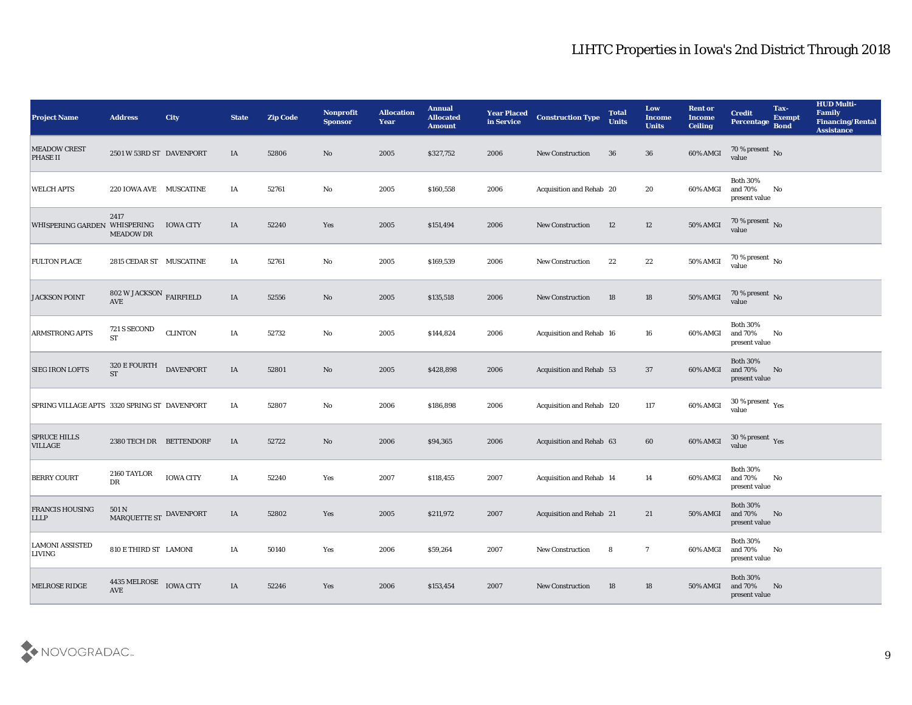| <b>Project Name</b>                          | <b>Address</b>                                | City             | <b>State</b> | <b>Zip Code</b> | Nonprofit<br><b>Sponsor</b> | <b>Allocation</b><br><b>Year</b> | <b>Annual</b><br><b>Allocated</b><br><b>Amount</b> | <b>Year Placed</b><br>in Service | <b>Construction Type</b>  | <b>Total</b><br><b>Units</b> | Low<br><b>Income</b><br><b>Units</b> | <b>Rent or</b><br><b>Income</b><br><b>Ceiling</b> | <b>Credit</b><br><b>Percentage</b>                        | Tax-<br><b>Exempt</b><br><b>Bond</b> | <b>HUD Multi-</b><br>Family<br><b>Financing/Rental</b><br><b>Assistance</b> |
|----------------------------------------------|-----------------------------------------------|------------------|--------------|-----------------|-----------------------------|----------------------------------|----------------------------------------------------|----------------------------------|---------------------------|------------------------------|--------------------------------------|---------------------------------------------------|-----------------------------------------------------------|--------------------------------------|-----------------------------------------------------------------------------|
| <b>MEADOW CREST</b><br>PHASE II              | 2501 W 53RD ST DAVENPORT                      |                  | IA           | 52806           | No                          | 2005                             | \$327,752                                          | 2006                             | <b>New Construction</b>   | 36                           | 36                                   | 60% AMGI                                          | $70\,\%$ present $\,$ No value                            |                                      |                                                                             |
| <b>WELCH APTS</b>                            | 220 IOWA AVE MUSCATINE                        |                  | IA           | 52761           | No                          | 2005                             | \$160,558                                          | 2006                             | Acquisition and Rehab 20  |                              | 20                                   | 60% AMGI                                          | <b>Both 30%</b><br>and 70%<br>present value               | No                                   |                                                                             |
| WHISPERING GARDEN WHISPERING                 | 2417<br><b>MEADOW DR</b>                      | <b>IOWA CITY</b> | IA           | 52240           | Yes                         | 2005                             | \$151,494                                          | 2006                             | <b>New Construction</b>   | 12                           | 12                                   | 50% AMGI                                          | $70\,\%$ present $\,$ No value                            |                                      |                                                                             |
| <b>FULTON PLACE</b>                          | 2815 CEDAR ST MUSCATINE                       |                  | IA           | 52761           | No                          | 2005                             | \$169,539                                          | 2006                             | <b>New Construction</b>   | 22                           | 22                                   | 50% AMGI                                          | $70\,\%$ present $\,$ No value                            |                                      |                                                                             |
| <b>JACKSON POINT</b>                         | 802 W JACKSON $\,$ FAIRFIELD<br>AVE           |                  | IA           | 52556           | No                          | 2005                             | \$135,518                                          | 2006                             | <b>New Construction</b>   | 18                           | 18                                   | 50% AMGI                                          | $70\,\%$ present $\,$ No value                            |                                      |                                                                             |
| ARMSTRONG APTS                               | 721 S SECOND<br><b>ST</b>                     | <b>CLINTON</b>   | IA           | 52732           | $\mathbf{No}$               | 2005                             | \$144,824                                          | 2006                             | Acquisition and Rehab 16  |                              | 16                                   | 60% AMGI                                          | <b>Both 30%</b><br>and 70%<br>present value               | No                                   |                                                                             |
| <b>SIEG IRON LOFTS</b>                       | 320 E FOURTH<br>ST                            | <b>DAVENPORT</b> | IA           | 52801           | $\mathbf{N}\mathbf{o}$      | 2005                             | \$428,898                                          | 2006                             | Acquisition and Rehab 53  |                              | 37                                   | 60% AMGI                                          | <b>Both 30%</b><br>and 70%<br>present value               | No                                   |                                                                             |
| SPRING VILLAGE APTS 3320 SPRING ST DAVENPORT |                                               |                  | IA           | 52807           | No                          | 2006                             | \$186,898                                          | 2006                             | Acquisition and Rehab 120 |                              | 117                                  | 60% AMGI                                          | $30\,\%$ present $\,$ Yes value                           |                                      |                                                                             |
| <b>SPRUCE HILLS</b><br><b>VILLAGE</b>        | 2380 TECH DR BETTENDORF                       |                  | IA           | 52722           | No                          | 2006                             | \$94,365                                           | 2006                             | Acquisition and Rehab 63  |                              | 60                                   | 60% AMGI                                          | $30\,\%$ present $\,$ Yes value                           |                                      |                                                                             |
| <b>BERRY COURT</b>                           | 2160 TAYLOR<br>${\rm D}{\rm R}$               | <b>IOWA CITY</b> | IA           | 52240           | Yes                         | 2007                             | \$118,455                                          | 2007                             | Acquisition and Rehab 14  |                              | 14                                   | 60% AMGI                                          | <b>Both 30%</b><br>and 70%<br>present value               | No                                   |                                                                             |
| <b>FRANCIS HOUSING</b><br><b>LLLP</b>        | 501 N<br>MARQUETTE ST DAVENPORT               |                  | IA           | 52802           | Yes                         | 2005                             | \$211,972                                          | 2007                             | Acquisition and Rehab 21  |                              | 21                                   | 50% AMGI                                          | <b>Both 30%</b><br>and 70%<br>present value               | No                                   |                                                                             |
| <b>LAMONI ASSISTED</b><br>LIVING             | 810 E THIRD ST LAMONI                         |                  | IA           | 50140           | $\mathbf{Yes}$              | 2006                             | \$59,264                                           | 2007                             | New Construction          | 8                            | $\overline{7}$                       | 60% AMGI                                          | <b>Both 30%</b><br>and $70\%$ $~$ No $~$<br>present value |                                      |                                                                             |
| <b>MELROSE RIDGE</b>                         | 4435 MELROSE<br>$\operatorname{\mathbf{AVE}}$ | <b>IOWA CITY</b> | IA           | 52246           | Yes                         | 2006                             | \$153,454                                          | 2007                             | <b>New Construction</b>   | 18                           | 18                                   | 50% AMGI                                          | <b>Both 30%</b><br>and 70%<br>present value               | No                                   |                                                                             |

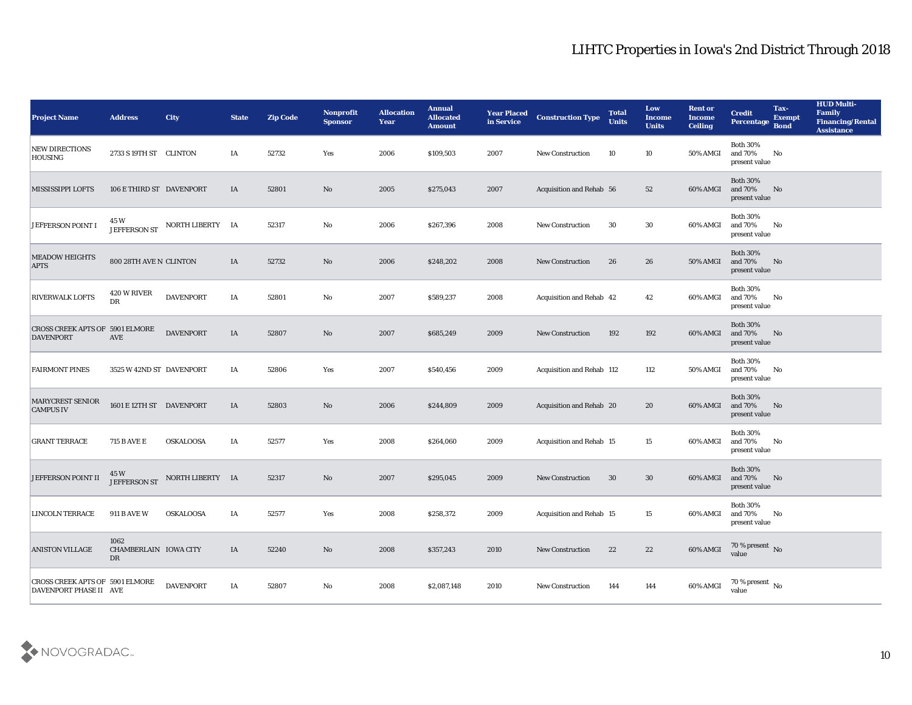| <b>Project Name</b>                                       | <b>Address</b>                      | <b>City</b>      | <b>State</b> | <b>Zip Code</b> | <b>Nonprofit</b><br><b>Sponsor</b> | <b>Allocation</b><br><b>Year</b> | <b>Annual</b><br><b>Allocated</b><br><b>Amount</b> | <b>Year Placed</b><br>in Service | <b>Construction Type</b>        | <b>Total</b><br><b>Units</b> | Low<br><b>Income</b><br><b>Units</b> | <b>Rent or</b><br><b>Income</b><br><b>Ceiling</b> | <b>Credit</b><br>Percentage                      | Tax-<br><b>Exempt</b><br><b>Bond</b> | <b>HUD Multi-</b><br>Family<br><b>Financing/Rental</b><br><b>Assistance</b> |
|-----------------------------------------------------------|-------------------------------------|------------------|--------------|-----------------|------------------------------------|----------------------------------|----------------------------------------------------|----------------------------------|---------------------------------|------------------------------|--------------------------------------|---------------------------------------------------|--------------------------------------------------|--------------------------------------|-----------------------------------------------------------------------------|
| <b>NEW DIRECTIONS</b><br><b>HOUSING</b>                   | 2733 S 19TH ST CLINTON              |                  | IA           | 52732           | Yes                                | 2006                             | \$109,503                                          | 2007                             | <b>New Construction</b>         | 10                           | 10                                   | 50% AMGI                                          | <b>Both 30%</b><br>and 70%<br>present value      | No                                   |                                                                             |
| <b>MISSISSIPPI LOFTS</b>                                  | 106 E THIRD ST DAVENPORT            |                  | IA           | 52801           | No                                 | 2005                             | \$275,043                                          | 2007                             | Acquisition and Rehab 56        |                              | 52                                   | 60% AMGI                                          | <b>Both 30%</b><br>and 70%<br>present value      | No                                   |                                                                             |
| <b>JEFFERSON POINT I</b>                                  | 45 W<br>JEFFERSON ST                | NORTH LIBERTY IA |              | 52317           | No                                 | 2006                             | \$267,396                                          | 2008                             | <b>New Construction</b>         | 30                           | 30                                   | 60% AMGI                                          | <b>Both 30%</b><br>and 70%<br>present value      | No                                   |                                                                             |
| <b>MEADOW HEIGHTS</b><br><b>APTS</b>                      | 800 28TH AVE N CLINTON              |                  | IA           | 52732           | No                                 | 2006                             | \$248,202                                          | 2008                             | <b>New Construction</b>         | 26                           | 26                                   | <b>50% AMGI</b>                                   | <b>Both 30%</b><br>and 70%<br>present value      | No                                   |                                                                             |
| <b>RIVERWALK LOFTS</b>                                    | 420 W RIVER<br>DR                   | <b>DAVENPORT</b> | IA           | 52801           | No                                 | 2007                             | \$589,237                                          | 2008                             | Acquisition and Rehab 42        |                              | 42                                   | 60% AMGI                                          | <b>Both 30%</b><br>and 70%<br>present value      | No                                   |                                                                             |
| CROSS CREEK APTS OF 5901 ELMORE<br><b>DAVENPORT</b>       | AVE                                 | <b>DAVENPORT</b> | IA           | 52807           | No                                 | 2007                             | \$685,249                                          | 2009                             | <b>New Construction</b>         | 192                          | 192                                  | 60% AMGI                                          | <b>Both 30%</b><br>and 70%<br>present value      | No                                   |                                                                             |
| <b>FAIRMONT PINES</b>                                     | 3525 W 42ND ST DAVENPORT            |                  | IA           | 52806           | Yes                                | 2007                             | \$540,456                                          | 2009                             | Acquisition and Rehab 112       |                              | 112                                  | 50% AMGI                                          | <b>Both 30%</b><br>and 70%<br>present value      | No                                   |                                                                             |
| <b>MARYCREST SENIOR</b><br><b>CAMPUS IV</b>               | 1601 E 12TH ST DAVENPORT            |                  | IA           | 52803           | No                                 | 2006                             | \$244,809                                          | 2009                             | Acquisition and Rehab 20        |                              | 20                                   | 60% AMGI                                          | <b>Both 30%</b><br>and 70%<br>present value      | No                                   |                                                                             |
| <b>GRANT TERRACE</b>                                      | <b>715 B AVE E</b>                  | <b>OSKALOOSA</b> | IA           | 52577           | Yes                                | 2008                             | \$264,060                                          | 2009                             | <b>Acquisition and Rehab 15</b> |                              | 15                                   | 60% AMGI                                          | <b>Both 30%</b><br>and 70%<br>present value      | No                                   |                                                                             |
| <b>JEFFERSON POINT II</b>                                 | 45 W<br>JEFFERSON ST                | NORTH LIBERTY IA |              | 52317           | No                                 | 2007                             | \$295,045                                          | 2009                             | <b>New Construction</b>         | 30                           | 30                                   | 60% AMGI                                          | <b>Both 30%</b><br>and 70%<br>present value      | No                                   |                                                                             |
| <b>LINCOLN TERRACE</b>                                    | <b>911 B AVE W</b>                  | <b>OSKALOOSA</b> | IA           | 52577           | Yes                                | 2008                             | \$258,372                                          | 2009                             | <b>Acquisition and Rehab 15</b> |                              | 15                                   | 60% AMGI                                          | <b>Both 30%</b><br>and 70%<br>$\,$ present value | No                                   |                                                                             |
| <b>ANISTON VILLAGE</b>                                    | 1062<br>CHAMBERLAIN IOWA CITY<br>DR |                  | IA           | 52240           | $\rm\thinspace No$                 | 2008                             | \$357,243                                          | 2010                             | New Construction                | 22                           | 22                                   | 60% AMGI                                          | $70\,\%$ present $\,$ No value                   |                                      |                                                                             |
| CROSS CREEK APTS OF 5901 ELMORE<br>DAVENPORT PHASE II AVE |                                     | <b>DAVENPORT</b> | IA           | 52807           | $\rm\thinspace No$                 | 2008                             | \$2,087,148                                        | 2010                             | New Construction                | 144                          | 144                                  | 60% AMGI                                          | 70 % present No<br>value                         |                                      |                                                                             |

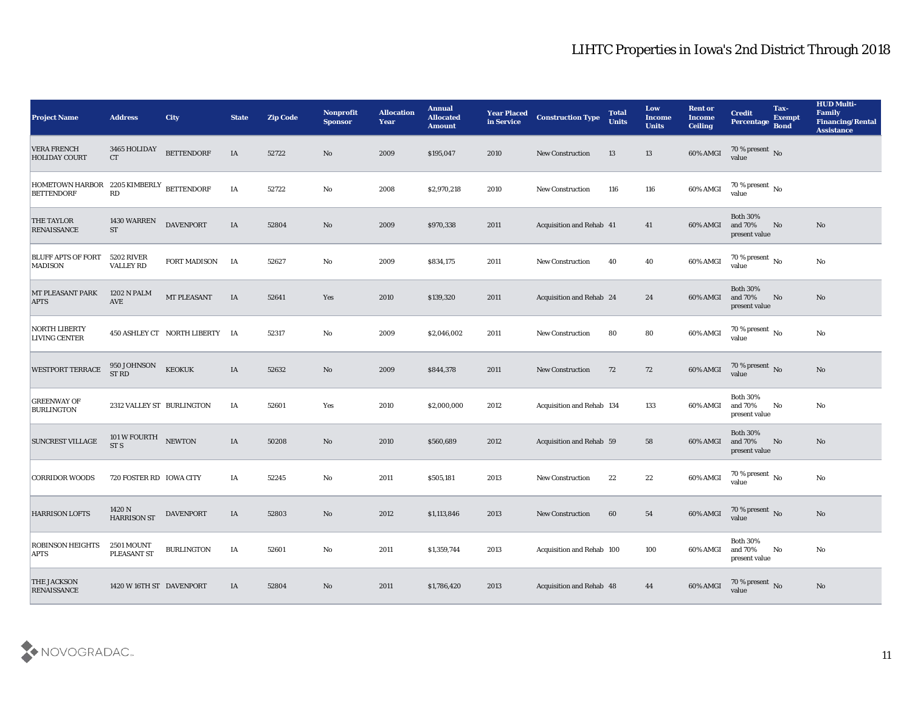| <b>Project Name</b>                                           | <b>Address</b>                   | <b>City</b>                    | <b>State</b> | <b>Zip Code</b> | Nonprofit<br><b>Sponsor</b> | <b>Allocation</b><br><b>Year</b> | <b>Annual</b><br><b>Allocated</b><br><b>Amount</b> | <b>Year Placed</b><br>in Service | <b>Construction Type</b>  | <b>Total</b><br><b>Units</b> | Low<br><b>Income</b><br><b>Units</b> | <b>Rent or</b><br><b>Income</b><br><b>Ceiling</b> | <b>Credit</b><br>Percentage                 | Tax-<br><b>Exempt</b><br><b>Bond</b> | <b>HUD Multi-</b><br>Family<br><b>Financing/Rental</b><br><b>Assistance</b> |
|---------------------------------------------------------------|----------------------------------|--------------------------------|--------------|-----------------|-----------------------------|----------------------------------|----------------------------------------------------|----------------------------------|---------------------------|------------------------------|--------------------------------------|---------------------------------------------------|---------------------------------------------|--------------------------------------|-----------------------------------------------------------------------------|
| <b>VERA FRENCH</b><br><b>HOLIDAY COURT</b>                    | 3465 HOLIDAY<br><b>CT</b>        | <b>BETTENDORF</b>              | IA           | 52722           | No                          | 2009                             | \$195,047                                          | 2010                             | <b>New Construction</b>   | 13                           | 13                                   | 60% AMGI                                          | $\frac{70\%}{\text{value}}$ No              |                                      |                                                                             |
| HOMETOWN HARBOR 2205 KIMBERLY BETTENDORF<br><b>BETTENDORF</b> | RD                               |                                | IA           | 52722           | No                          | 2008                             | \$2,970,218                                        | 2010                             | <b>New Construction</b>   | 116                          | 116                                  | 60% AMGI                                          | $70\,\%$ present $\,$ No value              |                                      |                                                                             |
| <b>THE TAYLOR</b><br><b>RENAISSANCE</b>                       | 1430 WARREN<br><b>ST</b>         | <b>DAVENPORT</b>               | IA           | 52804           | No                          | 2009                             | \$970,338                                          | 2011                             | Acquisition and Rehab 41  |                              | 41                                   | 60% AMGI                                          | <b>Both 30%</b><br>and 70%<br>present value | No                                   | No                                                                          |
| <b>BLUFF APTS OF FORT</b><br><b>MADISON</b>                   | 5202 RIVER<br><b>VALLEY RD</b>   | <b>FORT MADISON</b>            | <b>IA</b>    | 52627           | No                          | 2009                             | \$834,175                                          | 2011                             | <b>New Construction</b>   | 40                           | 40                                   | 60% AMGI                                          | $70\,\%$ present $\,$ No value              |                                      | $\rm\thinspace No$                                                          |
| MT PLEASANT PARK<br><b>APTS</b>                               | <b>1202 N PALM</b><br>AVE        | MT PLEASANT                    | IA           | 52641           | Yes                         | 2010                             | \$139,320                                          | 2011                             | Acquisition and Rehab 24  |                              | 24                                   | 60% AMGI                                          | <b>Both 30%</b><br>and 70%<br>present value | No                                   | No                                                                          |
| <b>NORTH LIBERTY</b><br><b>LIVING CENTER</b>                  |                                  | 450 ASHLEY CT NORTH LIBERTY IA |              | 52317           | No                          | 2009                             | \$2,046,002                                        | 2011                             | <b>New Construction</b>   | 80                           | 80                                   | 60% AMGI                                          | $70$ % present $\,$ No value                |                                      | No                                                                          |
| <b>WESTPORT TERRACE</b>                                       | 950 JOHNSON<br>ST RD             | <b>KEOKUK</b>                  | IA           | 52632           | No                          | 2009                             | \$844,378                                          | 2011                             | <b>New Construction</b>   | 72                           | 72                                   | 60% AMGI                                          | $70\,\%$ present $\,$ No value              |                                      | No                                                                          |
| <b>GREENWAY OF</b><br><b>BURLINGTON</b>                       | 2312 VALLEY ST BURLINGTON        |                                | IA           | 52601           | Yes                         | 2010                             | \$2,000,000                                        | 2012                             | Acquisition and Rehab 134 |                              | 133                                  | 60% AMGI                                          | <b>Both 30%</b><br>and 70%<br>present value | No                                   | No                                                                          |
| <b>SUNCREST VILLAGE</b>                                       | 101 W FOURTH<br>ST <sub>S</sub>  | <b>NEWTON</b>                  | IA           | 50208           | No                          | 2010                             | \$560,689                                          | 2012                             | Acquisition and Rehab 59  |                              | 58                                   | 60% AMGI                                          | <b>Both 30%</b><br>and 70%<br>present value | No                                   | No                                                                          |
| <b>CORRIDOR WOODS</b>                                         | 720 FOSTER RD IOWA CITY          |                                | IA           | 52245           | No                          | 2011                             | \$505,181                                          | 2013                             | <b>New Construction</b>   | 22                           | 22                                   | 60% AMGI                                          | $70\,\%$ present $\,$ No value              |                                      | No                                                                          |
| <b>HARRISON LOFTS</b>                                         | 1420 N<br><b>HARRISON ST</b>     | <b>DAVENPORT</b>               | IA           | 52803           | No                          | 2012                             | \$1,113,846                                        | 2013                             | New Construction          | 60                           | 54                                   | 60% AMGI                                          | 70 % present No<br>value                    |                                      | No                                                                          |
| <b>ROBINSON HEIGHTS</b><br><b>APTS</b>                        | <b>2501 MOUNT</b><br>PLEASANT ST | <b>BURLINGTON</b>              | IA           | 52601           | $\mathbf {No}$              | 2011                             | \$1,359,744                                        | 2013                             | Acquisition and Rehab 100 |                              | 100                                  | 60% AMGI                                          | Both $30\%$<br>and 70%<br>present value     | $\mathbf{N}\mathbf{o}$               | $\rm\thinspace No$                                                          |
| <b>THE JACKSON</b><br><b>RENAISSANCE</b>                      | 1420 W 16TH ST DAVENPORT         |                                | IA           | 52804           | No                          | 2011                             | \$1,786,420                                        | 2013                             | Acquisition and Rehab 48  |                              | 44                                   | 60% AMGI                                          | 70 % present No<br>value                    |                                      | No                                                                          |

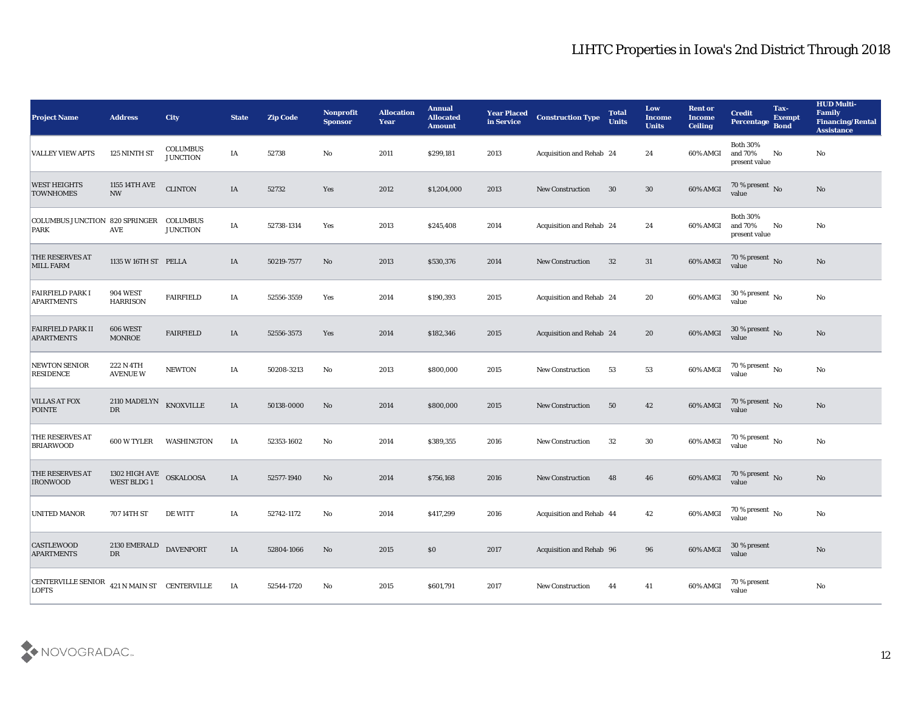| <b>Project Name</b>                           | <b>Address</b>                     | <b>City</b>                        | <b>State</b> | <b>Zip Code</b> | <b>Nonprofit</b><br><b>Sponsor</b> | <b>Allocation</b><br><b>Year</b> | <b>Annual</b><br><b>Allocated</b><br><b>Amount</b> | <b>Year Placed</b><br>in Service | <b>Construction Type</b> | <b>Total</b><br><b>Units</b> | Low<br><b>Income</b><br><b>Units</b> | <b>Rent or</b><br><b>Income</b><br><b>Ceiling</b> | <b>Credit</b><br><b>Percentage</b>            | Tax-<br><b>Exempt</b><br><b>Bond</b> | <b>HUD Multi-</b><br>Family<br><b>Financing/Rental</b><br><b>Assistance</b> |
|-----------------------------------------------|------------------------------------|------------------------------------|--------------|-----------------|------------------------------------|----------------------------------|----------------------------------------------------|----------------------------------|--------------------------|------------------------------|--------------------------------------|---------------------------------------------------|-----------------------------------------------|--------------------------------------|-----------------------------------------------------------------------------|
| <b>VALLEY VIEW APTS</b>                       | 125 NINTH ST                       | <b>COLUMBUS</b><br><b>JUNCTION</b> | IA           | 52738           | No                                 | 2011                             | \$299,181                                          | 2013                             | Acquisition and Rehab 24 |                              | 24                                   | 60% AMGI                                          | <b>Both 30%</b><br>and 70%<br>present value   | No                                   | No                                                                          |
| <b>WEST HEIGHTS</b><br><b>TOWNHOMES</b>       | 1155 14TH AVE<br><b>NW</b>         | <b>CLINTON</b>                     | IA           | 52732           | Yes                                | 2012                             | \$1,204,000                                        | 2013                             | <b>New Construction</b>  | 30                           | 30                                   | 60% AMGI                                          | $70\,\%$ present $\,$ No value                |                                      | No                                                                          |
| <b>COLUMBUS JUNCTION 820 SPRINGER</b><br>PARK | <b>AVE</b>                         | <b>COLUMBUS</b><br><b>JUNCTION</b> | IA           | 52738-1314      | Yes                                | 2013                             | \$245,408                                          | 2014                             | Acquisition and Rehab 24 |                              | 24                                   | 60% AMGI                                          | <b>Both 30%</b><br>and 70%<br>present value   | No                                   | No                                                                          |
| <b>THE RESERVES AT</b><br><b>MILL FARM</b>    | 1135 W 16TH ST PELLA               |                                    | IA           | 50219-7577      | No                                 | 2013                             | \$530,376                                          | 2014                             | <b>New Construction</b>  | 32                           | 31                                   | 60% AMGI                                          | $70\,\%$ present $\,$ No value                |                                      | No                                                                          |
| <b>FAIRFIELD PARK I</b><br><b>APARTMENTS</b>  | <b>904 WEST</b><br><b>HARRISON</b> | <b>FAIRFIELD</b>                   | IA           | 52556-3559      | Yes                                | 2014                             | \$190,393                                          | 2015                             | Acquisition and Rehab 24 |                              | 20                                   | 60% AMGI                                          | $30\,\%$ present $\,$ No value                |                                      | No                                                                          |
| <b>FAIRFIELD PARK II</b><br><b>APARTMENTS</b> | 606 WEST<br><b>MONROE</b>          | <b>FAIRFIELD</b>                   | IA           | 52556-3573      | Yes                                | 2014                             | \$182,346                                          | 2015                             | Acquisition and Rehab 24 |                              | 20                                   | 60% AMGI                                          | $30\,\%$ present $\,$ No value                |                                      | No                                                                          |
| <b>NEWTON SENIOR</b><br><b>RESIDENCE</b>      | 222 N 4TH<br><b>AVENUE W</b>       | <b>NEWTON</b>                      | IA           | 50208-3213      | No                                 | 2013                             | \$800,000                                          | 2015                             | <b>New Construction</b>  | 53                           | 53                                   | 60% AMGI                                          | $70\,\%$ present $\,$ No value                |                                      | No                                                                          |
| <b>VILLAS AT FOX</b><br><b>POINTE</b>         | 2110 MADELYN<br>DR                 | KNOXVILLE                          | IA           | 50138-0000      | No                                 | 2014                             | \$800,000                                          | 2015                             | <b>New Construction</b>  | 50                           | 42                                   | 60% AMGI                                          | $70\,\%$ present $\,$ No value                |                                      | No                                                                          |
| THE RESERVES AT<br><b>BRIARWOOD</b>           | <b>600 W TYLER</b>                 | WASHINGTON                         | IA           | 52353-1602      | No                                 | 2014                             | \$389,355                                          | 2016                             | <b>New Construction</b>  | 32                           | 30                                   | 60% AMGI                                          | 70 % present $\sqrt{\phantom{a}}$ No<br>value |                                      | No                                                                          |
| THE RESERVES AT<br><b>IRONWOOD</b>            | 1302 HIGH AVE<br>WEST BLDG 1       | <b>OSKALOOSA</b>                   | IA           | 52577-1940      | No                                 | 2014                             | \$756,168                                          | 2016                             | <b>New Construction</b>  | 48                           | 46                                   | 60% AMGI                                          | $70$ % present $\,$ No value                  |                                      | No                                                                          |
| <b>UNITED MANOR</b>                           | 707 14TH ST                        | <b>DE WITT</b>                     | IA           | 52742-1172      | No                                 | 2014                             | \$417,299                                          | 2016                             | Acquisition and Rehab 44 |                              | 42                                   | 60% AMGI                                          | 70 % present $\,$ No $\,$<br>value            |                                      | $\mathbf{N}\mathbf{o}$                                                      |
| <b>CASTLEWOOD</b><br><b>APARTMENTS</b>        | 2130 EMERALD<br>${\rm D}{\rm R}$   | <b>DAVENPORT</b>                   | IA           | 52804-1066      | No                                 | 2015                             | $\$0$                                              | 2017                             | Acquisition and Rehab 96 |                              | 96                                   | 60% AMGI                                          | 30 % present<br>value                         |                                      | $\rm No$                                                                    |
| CENTERVILLE SENIOR<br><b>LOFTS</b>            | 421 N MAIN ST CENTERVILLE          |                                    | IA           | 52544-1720      | $\rm\, No$                         | 2015                             | \$601,791                                          | 2017                             | New Construction         | 44                           | 41                                   | 60% AMGI                                          | 70 % present<br>value                         |                                      | $\mathbf {No}$                                                              |